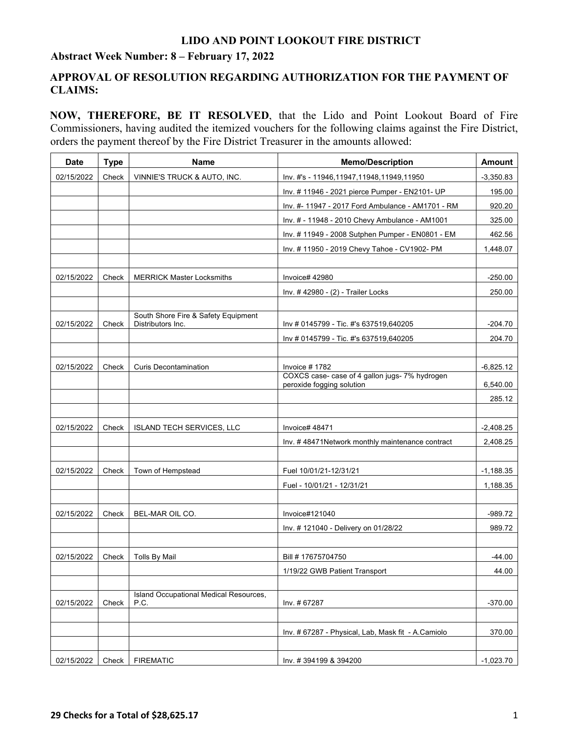#### **Abstract Week Number: 8 – February 17, 2022**

## **APPROVAL OF RESOLUTION REGARDING AUTHORIZATION FOR THE PAYMENT OF CLAIMS:**

**NOW, THEREFORE, BE IT RESOLVED**, that the Lido and Point Lookout Board of Fire Commissioners, having audited the itemized vouchers for the following claims against the Fire District, orders the payment thereof by the Fire District Treasurer in the amounts allowed:

| <b>Date</b> | <b>Type</b> | <b>Name</b>                                              | <b>Memo/Description</b>                                                     | <b>Amount</b> |
|-------------|-------------|----------------------------------------------------------|-----------------------------------------------------------------------------|---------------|
| 02/15/2022  | Check       | VINNIE'S TRUCK & AUTO, INC.                              | Inv. #'s - 11946,11947,11948,11949,11950                                    | $-3,350.83$   |
|             |             |                                                          | Inv. #11946 - 2021 pierce Pumper - EN2101- UP                               | 195.00        |
|             |             |                                                          | Inv. #- 11947 - 2017 Ford Ambulance - AM1701 - RM                           | 920.20        |
|             |             |                                                          | Inv. # - 11948 - 2010 Chevy Ambulance - AM1001                              | 325.00        |
|             |             |                                                          | Inv. #11949 - 2008 Sutphen Pumper - EN0801 - EM                             | 462.56        |
|             |             |                                                          | Inv. #11950 - 2019 Chevy Tahoe - CV1902- PM                                 | 1,448.07      |
|             |             |                                                          |                                                                             |               |
| 02/15/2022  | Check       | <b>MERRICK Master Locksmiths</b>                         | Invoice# 42980                                                              | $-250.00$     |
|             |             |                                                          | Inv. #42980 - (2) - Trailer Locks                                           | 250.00        |
|             |             |                                                          |                                                                             |               |
| 02/15/2022  | Check       | South Shore Fire & Safety Equipment<br>Distributors Inc. | Inv # 0145799 - Tic. #'s 637519,640205                                      | $-204.70$     |
|             |             |                                                          | Inv # 0145799 - Tic. #'s 637519,640205                                      | 204.70        |
|             |             |                                                          |                                                                             |               |
| 02/15/2022  | Check       | <b>Curis Decontamination</b>                             | Invoice #1782                                                               | $-6,825.12$   |
|             |             |                                                          | COXCS case- case of 4 gallon jugs- 7% hydrogen<br>peroxide fogging solution | 6,540.00      |
|             |             |                                                          |                                                                             | 285.12        |
|             |             |                                                          |                                                                             |               |
| 02/15/2022  | Check       | <b>ISLAND TECH SERVICES, LLC</b>                         | Invoice# 48471                                                              | $-2,408.25$   |
|             |             |                                                          | Inv. #48471Network monthly maintenance contract                             | 2,408.25      |
|             |             |                                                          |                                                                             |               |
| 02/15/2022  | Check       | Town of Hempstead                                        | Fuel 10/01/21-12/31/21                                                      | $-1,188.35$   |
|             |             |                                                          | Fuel - 10/01/21 - 12/31/21                                                  | 1,188.35      |
|             |             |                                                          |                                                                             |               |
| 02/15/2022  | Check       | BEL-MAR OIL CO.                                          | Invoice#121040                                                              | $-989.72$     |
|             |             |                                                          | Inv. # 121040 - Delivery on 01/28/22                                        | 989.72        |
|             |             |                                                          |                                                                             |               |
| 02/15/2022  | Check       | <b>Tolls By Mail</b>                                     | Bill #17675704750                                                           | $-44.00$      |
|             |             |                                                          | 1/19/22 GWB Patient Transport                                               | 44.00         |
|             |             |                                                          |                                                                             |               |
| 02/15/2022  | Check       | Island Occupational Medical Resources,<br>P.C.           | Inv. # 67287                                                                | $-370.00$     |
|             |             |                                                          |                                                                             |               |
|             |             |                                                          | Inv. # 67287 - Physical, Lab, Mask fit - A.Camiolo                          | 370.00        |
|             |             |                                                          |                                                                             |               |
| 02/15/2022  | Check       | <b>FIREMATIC</b>                                         | Inv. #394199 & 394200                                                       | -1,023.70     |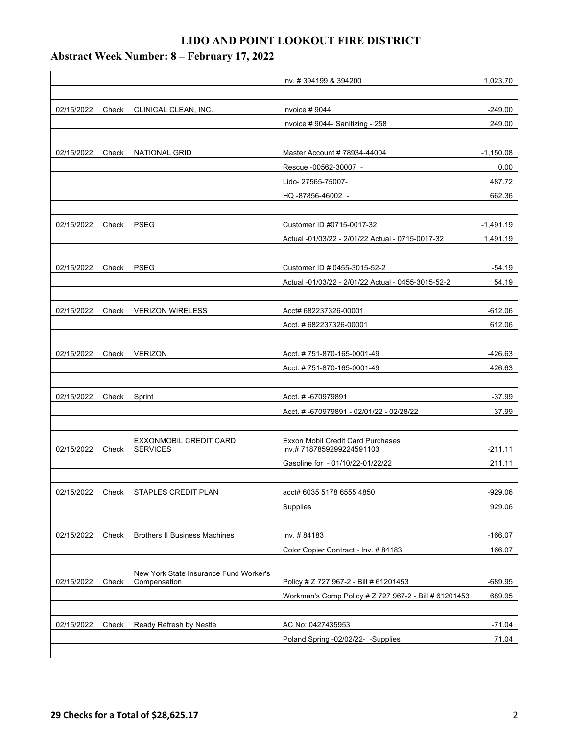|            |       |                                                        | Inv. #394199 & 394200                                                | 1,023.70    |
|------------|-------|--------------------------------------------------------|----------------------------------------------------------------------|-------------|
|            |       |                                                        |                                                                      |             |
| 02/15/2022 | Check | CLINICAL CLEAN, INC.                                   | Invoice $# 9044$                                                     | $-249.00$   |
|            |       |                                                        | Invoice #9044- Sanitizing - 258                                      | 249.00      |
|            |       |                                                        |                                                                      |             |
| 02/15/2022 | Check | NATIONAL GRID                                          | Master Account # 78934-44004                                         | $-1,150.08$ |
|            |       |                                                        | Rescue -00562-30007 -                                                | 0.00        |
|            |       |                                                        | Lido-27565-75007-                                                    | 487.72      |
|            |       |                                                        | HQ-87856-46002 -                                                     | 662.36      |
|            |       |                                                        |                                                                      |             |
| 02/15/2022 | Check | <b>PSEG</b>                                            | Customer ID #0715-0017-32                                            | $-1,491.19$ |
|            |       |                                                        | Actual -01/03/22 - 2/01/22 Actual - 0715-0017-32                     | 1,491.19    |
|            |       |                                                        |                                                                      |             |
| 02/15/2022 | Check | <b>PSEG</b>                                            | Customer ID # 0455-3015-52-2                                         | $-54.19$    |
|            |       |                                                        | Actual -01/03/22 - 2/01/22 Actual - 0455-3015-52-2                   | 54.19       |
|            |       |                                                        |                                                                      |             |
| 02/15/2022 | Check | <b>VERIZON WIRELESS</b>                                | Acct# 682237326-00001                                                | $-612.06$   |
|            |       |                                                        | Acct. # 682237326-00001                                              | 612.06      |
|            |       |                                                        |                                                                      |             |
| 02/15/2022 | Check | <b>VERIZON</b>                                         | Acct. #751-870-165-0001-49                                           | $-426.63$   |
|            |       |                                                        | Acct. #751-870-165-0001-49                                           | 426.63      |
|            |       |                                                        |                                                                      |             |
| 02/15/2022 | Check | Sprint                                                 | Acct. # -670979891                                                   | $-37.99$    |
|            |       |                                                        | Acct. #-670979891 - 02/01/22 - 02/28/22                              | 37.99       |
|            |       |                                                        |                                                                      |             |
| 02/15/2022 | Check | EXXONMOBIL CREDIT CARD<br><b>SERVICES</b>              | <b>Exxon Mobil Credit Card Purchases</b><br>Inv.#7187859299224591103 | $-211.11$   |
|            |       |                                                        | Gasoline for - 01/10/22-01/22/22                                     | 211.11      |
|            |       |                                                        |                                                                      |             |
| 02/15/2022 | Check | STAPLES CREDIT PLAN                                    | acct# 6035 5178 6555 4850                                            | $-929.06$   |
|            |       |                                                        | Supplies                                                             | 929.06      |
|            |       |                                                        |                                                                      |             |
| 02/15/2022 | Check | <b>Brothers II Business Machines</b>                   | Inv. #84183                                                          | $-166.07$   |
|            |       |                                                        | Color Copier Contract - Inv. #84183                                  | 166.07      |
|            |       |                                                        |                                                                      |             |
| 02/15/2022 | Check | New York State Insurance Fund Worker's<br>Compensation | Policy # Z 727 967-2 - Bill # 61201453                               | $-689.95$   |
|            |       |                                                        | Workman's Comp Policy # Z 727 967-2 - Bill # 61201453                | 689.95      |
|            |       |                                                        |                                                                      |             |
| 02/15/2022 | Check | Ready Refresh by Nestle                                | AC No: 0427435953                                                    | $-71.04$    |
|            |       |                                                        | Poland Spring -02/02/22- -Supplies                                   | 71.04       |
|            |       |                                                        |                                                                      |             |

## **Abstract Week Number: 8 – February 17, 2022**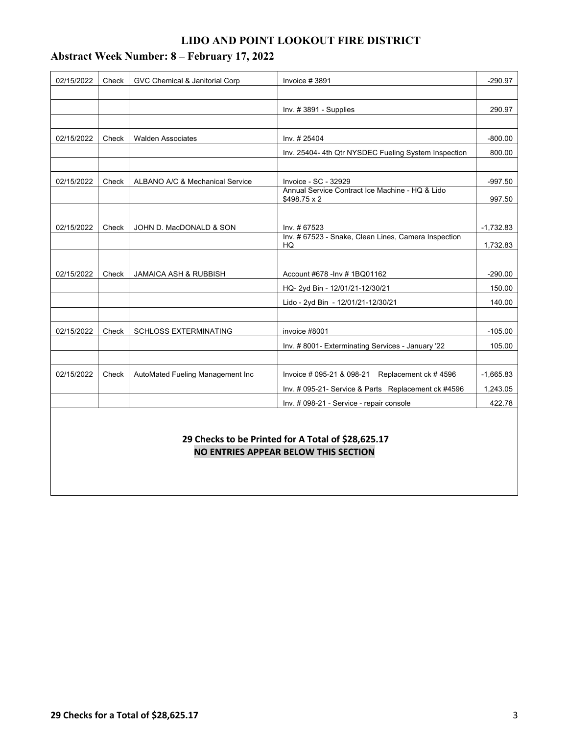| 02/15/2022                                                                                 | Check | <b>GVC Chemical &amp; Janitorial Corp</b> | Invoice #3891                                                         | $-290.97$   |  |
|--------------------------------------------------------------------------------------------|-------|-------------------------------------------|-----------------------------------------------------------------------|-------------|--|
|                                                                                            |       |                                           |                                                                       |             |  |
|                                                                                            |       |                                           | Inv. $#3891 -$ Supplies                                               | 290.97      |  |
|                                                                                            |       |                                           |                                                                       |             |  |
| 02/15/2022                                                                                 | Check | <b>Walden Associates</b>                  | Inv. # 25404                                                          | $-800.00$   |  |
|                                                                                            |       |                                           | Inv. 25404-4th Qtr NYSDEC Fueling System Inspection                   | 800.00      |  |
|                                                                                            |       |                                           |                                                                       |             |  |
| 02/15/2022                                                                                 | Check | ALBANO A/C & Mechanical Service           | Invoice - SC - 32929                                                  | $-997.50$   |  |
|                                                                                            |       |                                           | Annual Service Contract Ice Machine - HQ & Lido<br>$$498.75 \times 2$ | 997.50      |  |
|                                                                                            |       |                                           |                                                                       |             |  |
| 02/15/2022                                                                                 | Check | JOHN D. MacDONALD & SON                   | Inv. #67523                                                           | $-1,732.83$ |  |
|                                                                                            |       |                                           | Inv. # 67523 - Snake, Clean Lines, Camera Inspection                  |             |  |
|                                                                                            |       |                                           | HQ                                                                    | 1,732.83    |  |
| 02/15/2022                                                                                 | Check | <b>JAMAICA ASH &amp; RUBBISH</b>          | Account #678 - Inv #1BQ01162                                          | $-290.00$   |  |
|                                                                                            |       |                                           | HQ- 2yd Bin - 12/01/21-12/30/21                                       | 150.00      |  |
|                                                                                            |       |                                           | Lido - 2yd Bin - 12/01/21-12/30/21                                    | 140.00      |  |
|                                                                                            |       |                                           |                                                                       |             |  |
| 02/15/2022                                                                                 | Check | SCHLOSS EXTERMINATING                     | invoice #8001                                                         | $-105.00$   |  |
|                                                                                            |       |                                           | Inv. #8001- Exterminating Services - January '22                      | 105.00      |  |
|                                                                                            |       |                                           |                                                                       |             |  |
| 02/15/2022                                                                                 | Check | AutoMated Fueling Management Inc          | Invoice # 095-21 & 098-21 Replacement ck # 4596                       | $-1,665.83$ |  |
|                                                                                            |       |                                           | Inv. # 095-21- Service & Parts Replacement ck #4596                   | 1,243.05    |  |
|                                                                                            |       |                                           | Inv. # 098-21 - Service - repair console                              | 422.78      |  |
|                                                                                            |       |                                           |                                                                       |             |  |
|                                                                                            |       |                                           |                                                                       |             |  |
| 29 Checks to be Printed for A Total of \$28,625.17<br>NO ENTRIES APPEAR BELOW THIS SECTION |       |                                           |                                                                       |             |  |
|                                                                                            |       |                                           |                                                                       |             |  |
|                                                                                            |       |                                           |                                                                       |             |  |

## **Abstract Week Number: 8 – February 17, 2022**

## **29 Checks for a Total of \$28,625.17** 3